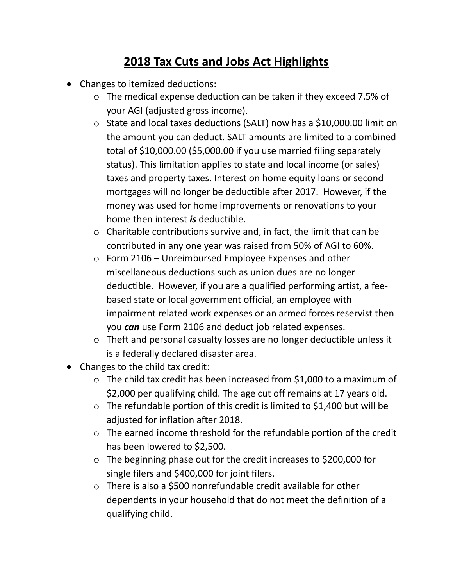## **2018 Tax Cuts and Jobs Act Highlights**

- Changes to itemized deductions:
	- o The medical expense deduction can be taken if they exceed 7.5% of your AGI (adjusted gross income).
	- o State and local taxes deductions (SALT) now has a \$10,000.00 limit on the amount you can deduct. SALT amounts are limited to a combined total of \$10,000.00 (\$5,000.00 if you use married filing separately status). This limitation applies to state and local income (or sales) taxes and property taxes. Interest on home equity loans or second mortgages will no longer be deductible after 2017. However, if the money was used for home improvements or renovations to your home then interest *is* deductible.
	- o Charitable contributions survive and, in fact, the limit that can be contributed in any one year was raised from 50% of AGI to 60%.
	- o Form 2106 Unreimbursed Employee Expenses and other miscellaneous deductions such as union dues are no longer deductible. However, if you are a qualified performing artist, a feebased state or local government official, an employee with impairment related work expenses or an armed forces reservist then you *can* use Form 2106 and deduct job related expenses.
	- o Theft and personal casualty losses are no longer deductible unless it is a federally declared disaster area.
- Changes to the child tax credit:
	- o The child tax credit has been increased from \$1,000 to a maximum of \$2,000 per qualifying child. The age cut off remains at 17 years old.
	- o The refundable portion of this credit is limited to \$1,400 but will be adjusted for inflation after 2018.
	- o The earned income threshold for the refundable portion of the credit has been lowered to \$2,500.
	- o The beginning phase out for the credit increases to \$200,000 for single filers and \$400,000 for joint filers.
	- o There is also a \$500 nonrefundable credit available for other dependents in your household that do not meet the definition of a qualifying child.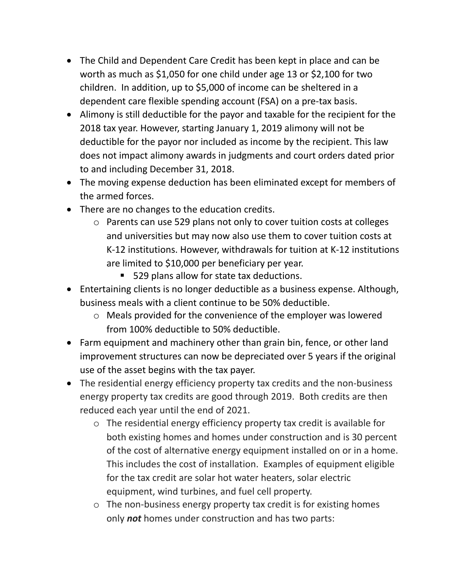- The Child and Dependent Care Credit has been kept in place and can be worth as much as \$1,050 for one child under age 13 or \$2,100 for two children. In addition, up to \$5,000 of income can be sheltered in a dependent care flexible spending account (FSA) on a pre-tax basis.
- Alimony is still deductible for the payor and taxable for the recipient for the 2018 tax year. However, starting January 1, 2019 alimony will not be deductible for the payor nor included as income by the recipient. This law does not impact alimony awards in judgments and court orders dated prior to and including December 31, 2018.
- The moving expense deduction has been eliminated except for members of the armed forces.
- There are no changes to the education credits.
	- o Parents can use 529 plans not only to cover tuition costs at colleges and universities but may now also use them to cover tuition costs at K-12 institutions. However, withdrawals for tuition at K-12 institutions are limited to \$10,000 per beneficiary per year.
		- 529 plans allow for state tax deductions.
- Entertaining clients is no longer deductible as a business expense. Although, business meals with a client continue to be 50% deductible.
	- o Meals provided for the convenience of the employer was lowered from 100% deductible to 50% deductible.
- Farm equipment and machinery other than grain bin, fence, or other land improvement structures can now be depreciated over 5 years if the original use of the asset begins with the tax payer.
- The residential energy efficiency property tax credits and the non-business energy property tax credits are good through 2019. Both credits are then reduced each year until the end of 2021.
	- o The residential energy efficiency property tax credit is available for both existing homes and homes under construction and is 30 percent of the cost of alternative energy equipment installed on or in a home. This includes the cost of installation. Examples of equipment eligible for the tax credit are solar hot water heaters, solar electric equipment, wind turbines, and fuel cell property.
	- o The non-business energy property tax credit is for existing homes only *not* homes under construction and has two parts: